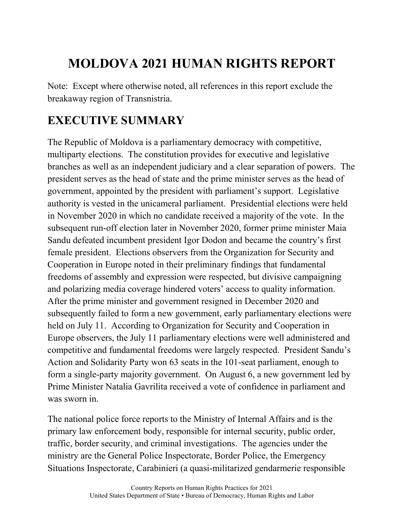## **MOLDOVA 2021 HUMAN RIGHTS REPORT**

Note: Except where otherwise noted, all references in this report exclude the breakaway region of Transnistria.

## **EXECUTIVE SUMMARY**

The Republic of Moldova is a parliamentary democracy with competitive, multiparty elections. The constitution provides for executive and legislative branches as well as an independent judiciary and a clear separation of powers. The president serves as the head of state and the prime minister serves as the head of government, appointed by the president with parliament's support. Legislative authority is vested in the unicameral parliament. Presidential elections were held in November 2020 in which no candidate received a majority of the vote. In the subsequent run-off election later in November 2020, former prime minister Maia Sandu defeated incumbent president Igor Dodon and became the country's first female president. Elections observers from the Organization for Security and Cooperation in Europe noted in their preliminary findings that fundamental freedoms of assembly and expression were respected, but divisive campaigning and polarizing media coverage hindered voters' access to quality information. After the prime minister and government resigned in December 2020 and subsequently failed to form a new government, early parliamentary elections were held on July 11. According to Organization for Security and Cooperation in Europe observers, the July 11 parliamentary elections were well administered and competitive and fundamental freedoms were largely respected. President Sandu's Action and Solidarity Party won 63 seats in the 101-seat parliament, enough to form a single-party majority government. On August 6, a new government led by Prime Minister Natalia Gavrilita received a vote of confidence in parliament and was sworn in.

The national police force reports to the Ministry of Internal Affairs and is the primary law enforcement body, responsible for internal security, public order, traffic, border security, and criminal investigations. The agencies under the ministry are the General Police Inspectorate, Border Police, the Emergency Situations Inspectorate, Carabinieri (a quasi-militarized gendarmerie responsible